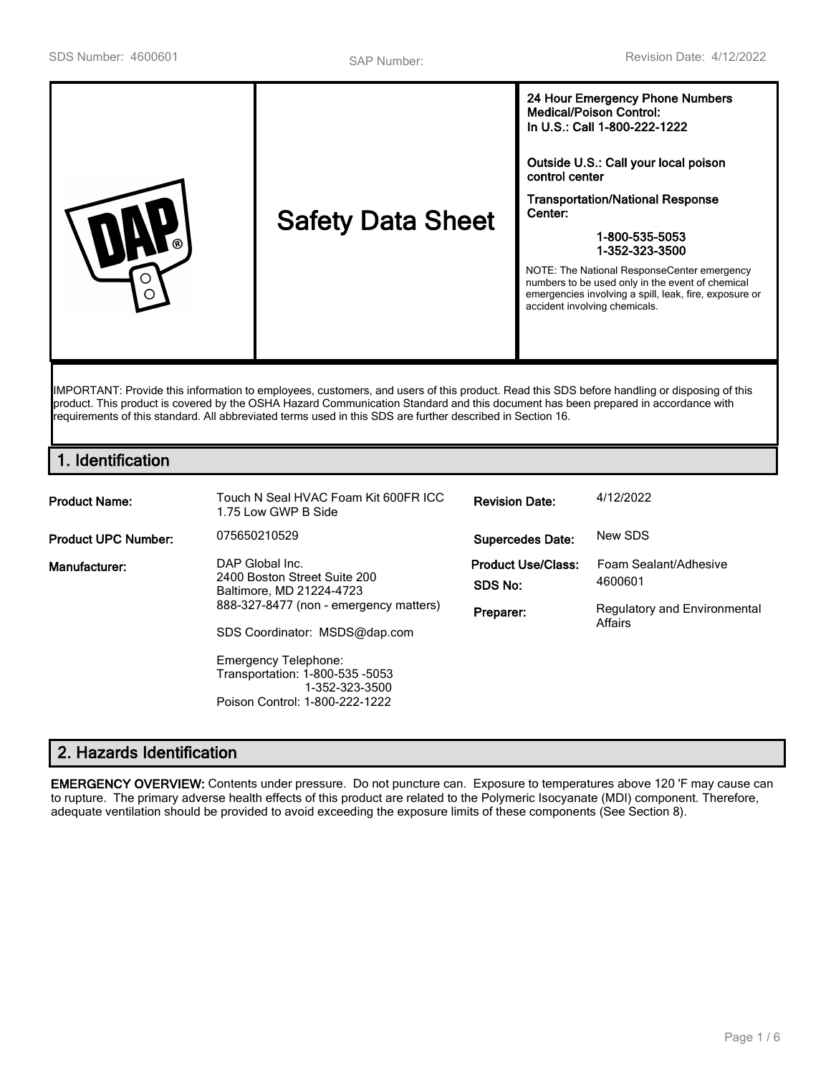| <b>Medical/Poison Control:</b><br>In U.S.: Call 1-800-222-1222<br>Outside U.S.: Call your local poison<br>control center<br><b>Transportation/National Response</b><br>Center:<br><b>Safety Data Sheet</b><br>1-800-535-5053<br>ര<br>1-352-323-3500<br>NOTE: The National ResponseCenter emergency<br>numbers to be used only in the event of chemical<br>emergencies involving a spill, leak, fire, exposure or<br>∩<br>accident involving chemicals. |
|--------------------------------------------------------------------------------------------------------------------------------------------------------------------------------------------------------------------------------------------------------------------------------------------------------------------------------------------------------------------------------------------------------------------------------------------------------|
|--------------------------------------------------------------------------------------------------------------------------------------------------------------------------------------------------------------------------------------------------------------------------------------------------------------------------------------------------------------------------------------------------------------------------------------------------------|

IMPORTANT: Provide this information to employees, customers, and users of this product. Read this SDS before handling or disposing of this product. This product is covered by the OSHA Hazard Communication Standard and this document has been prepared in accordance with requirements of this standard. All abbreviated terms used in this SDS are further described in Section 16.

# **1. Identification**

| <b>Product Name:</b>       | Touch N Seal HVAC Foam Kit 600FR ICC<br>1.75 Low GWP B Side                                                                                                                                                                                                                  | <b>Revision Date:</b>                             | 4/12/2022                                                                   |
|----------------------------|------------------------------------------------------------------------------------------------------------------------------------------------------------------------------------------------------------------------------------------------------------------------------|---------------------------------------------------|-----------------------------------------------------------------------------|
| <b>Product UPC Number:</b> | 075650210529                                                                                                                                                                                                                                                                 | <b>Supercedes Date:</b>                           | New SDS                                                                     |
| Manufacturer:              | DAP Global Inc.<br>2400 Boston Street Suite 200<br>Baltimore, MD 21224-4723<br>888-327-8477 (non - emergency matters)<br>SDS Coordinator: MSDS@dap.com<br><b>Emergency Telephone:</b><br>Transportation: 1-800-535 -5053<br>1-352-323-3500<br>Poison Control: 1-800-222-1222 | <b>Product Use/Class:</b><br>SDS No:<br>Preparer: | Foam Sealant/Adhesive<br>4600601<br>Regulatory and Environmental<br>Affairs |

# **2. Hazards Identification**

**EMERGENCY OVERVIEW:** Contents under pressure. Do not puncture can. Exposure to temperatures above 120 'F may cause can to rupture. The primary adverse health effects of this product are related to the Polymeric Isocyanate (MDI) component. Therefore, adequate ventilation should be provided to avoid exceeding the exposure limits of these components (See Section 8).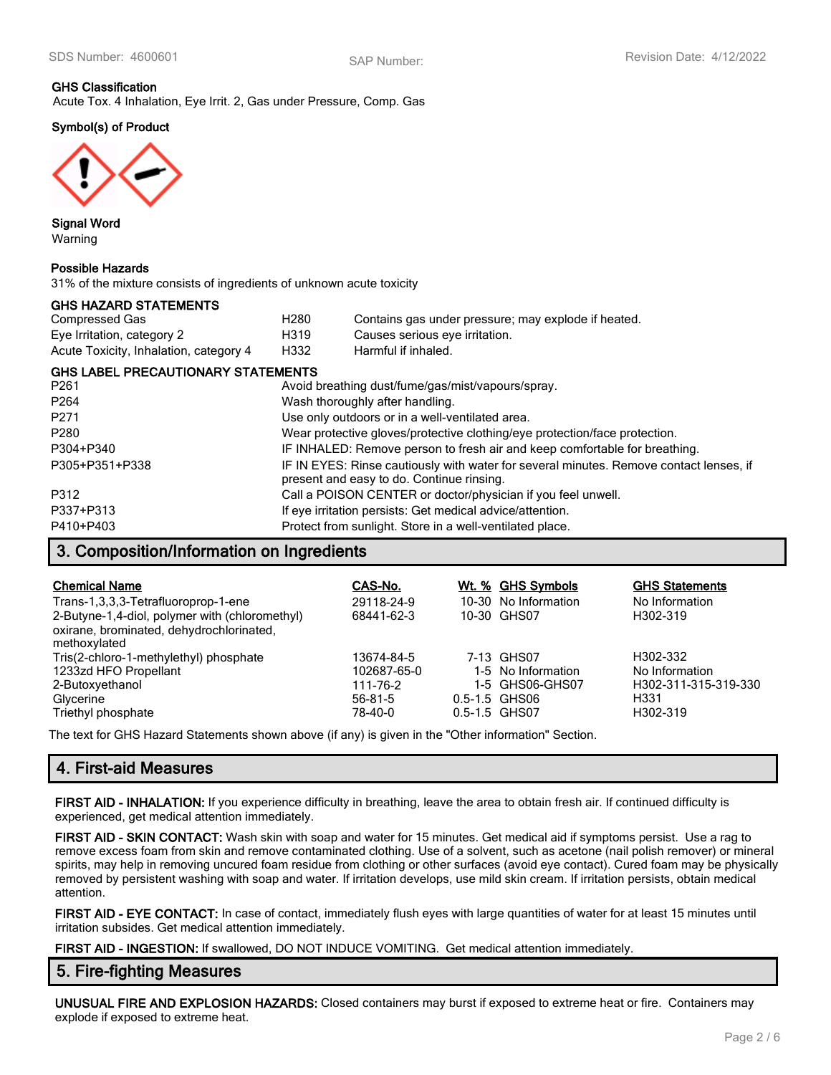# **GHS Classification**

Acute Tox. 4 Inhalation, Eye Irrit. 2, Gas under Pressure, Comp. Gas

# **Symbol(s) of Product**



**Signal Word** Warning

#### **Possible Hazards**

31% of the mixture consists of ingredients of unknown acute toxicity

### **GHS HAZARD STATEMENTS**

| Compressed Gas                         | H280 | Contains gas under pressure; may explode if heated. |
|----------------------------------------|------|-----------------------------------------------------|
| Eye Irritation, category 2             | H319 | Causes serious eye irritation.                      |
| Acute Toxicity, Inhalation, category 4 | H332 | Harmful if inhaled.                                 |

#### **GHS LABEL PRECAUTIONARY STATEMENTS**

| P <sub>261</sub> | Avoid breathing dust/fume/gas/mist/vapours/spray.                                                                                   |
|------------------|-------------------------------------------------------------------------------------------------------------------------------------|
| P <sub>264</sub> | Wash thoroughly after handling.                                                                                                     |
| P271             | Use only outdoors or in a well-ventilated area.                                                                                     |
| P280             | Wear protective gloves/protective clothing/eye protection/face protection.                                                          |
| P304+P340        | IF INHALED: Remove person to fresh air and keep comfortable for breathing.                                                          |
| P305+P351+P338   | IF IN EYES: Rinse cautiously with water for several minutes. Remove contact lenses, if<br>present and easy to do. Continue rinsing. |
| P312             | Call a POISON CENTER or doctor/physician if you feel unwell.                                                                        |
| P337+P313        | If eye irritation persists: Get medical advice/attention.                                                                           |
| P410+P403        | Protect from sunlight. Store in a well-ventilated place.                                                                            |

## **3. Composition/Information on Ingredients**

| <b>Chemical Name</b>                           | CAS-No.       | Wt. % GHS Symbols    | <b>GHS Statements</b> |
|------------------------------------------------|---------------|----------------------|-----------------------|
| Trans-1,3,3,3-Tetrafluoroprop-1-ene            | 29118-24-9    | 10-30 No Information | No Information        |
| 2-Butyne-1,4-diol, polymer with (chloromethyl) | 68441-62-3    | 10-30 GHS07          | H302-319              |
| oxirane, brominated, dehydrochlorinated,       |               |                      |                       |
| methoxylated                                   |               |                      |                       |
| Tris(2-chloro-1-methylethyl) phosphate         | 13674-84-5    | 7-13 GHS07           | H302-332              |
| 1233zd HFO Propellant                          | 102687-65-0   | 1-5 No Information   | No Information        |
| 2-Butoxyethanol                                | 111-76-2      | 1-5 GHS06-GHS07      | H302-311-315-319-330  |
| Glycerine                                      | $56 - 81 - 5$ | 0.5-1.5 GHS06        | H <sub>331</sub>      |
| Triethyl phosphate                             | 78-40-0       | 0.5-1.5 GHS07        | H302-319              |

The text for GHS Hazard Statements shown above (if any) is given in the "Other information" Section.

# **4. First-aid Measures**

**FIRST AID - INHALATION:** If you experience difficulty in breathing, leave the area to obtain fresh air. If continued difficulty is experienced, get medical attention immediately.

**FIRST AID - SKIN CONTACT:** Wash skin with soap and water for 15 minutes. Get medical aid if symptoms persist. Use a rag to remove excess foam from skin and remove contaminated clothing. Use of a solvent, such as acetone (nail polish remover) or mineral spirits, may help in removing uncured foam residue from clothing or other surfaces (avoid eye contact). Cured foam may be physically removed by persistent washing with soap and water. If irritation develops, use mild skin cream. If irritation persists, obtain medical attention.

**FIRST AID - EYE CONTACT:** In case of contact, immediately flush eyes with large quantities of water for at least 15 minutes until irritation subsides. Get medical attention immediately.

**FIRST AID - INGESTION:** If swallowed, DO NOT INDUCE VOMITING. Get medical attention immediately.

## **5. Fire-fighting Measures**

**UNUSUAL FIRE AND EXPLOSION HAZARDS:** Closed containers may burst if exposed to extreme heat or fire. Containers may explode if exposed to extreme heat.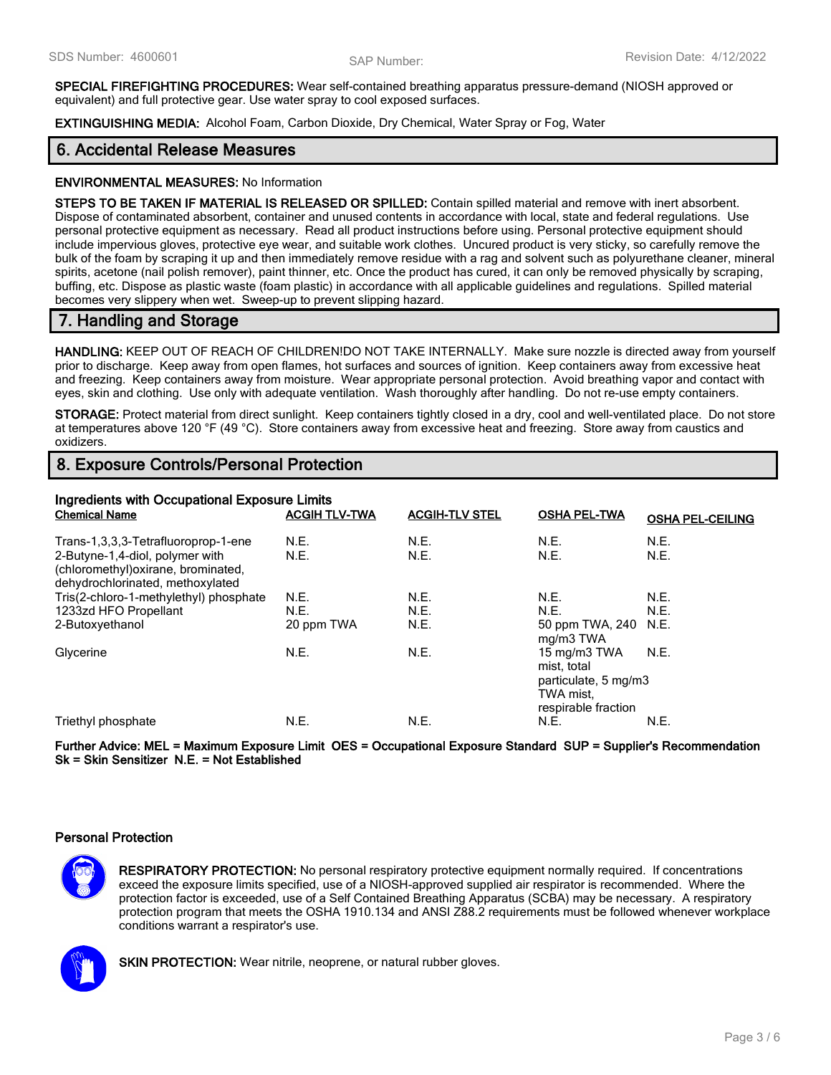**SPECIAL FIREFIGHTING PROCEDURES:** Wear self-contained breathing apparatus pressure-demand (NIOSH approved or equivalent) and full protective gear. Use water spray to cool exposed surfaces.

**EXTINGUISHING MEDIA:** Alcohol Foam, Carbon Dioxide, Dry Chemical, Water Spray or Fog, Water

# **6. Accidental Release Measures**

### **ENVIRONMENTAL MEASURES:** No Information

**STEPS TO BE TAKEN IF MATERIAL IS RELEASED OR SPILLED:** Contain spilled material and remove with inert absorbent. Dispose of contaminated absorbent, container and unused contents in accordance with local, state and federal regulations. Use personal protective equipment as necessary. Read all product instructions before using. Personal protective equipment should include impervious gloves, protective eye wear, and suitable work clothes. Uncured product is very sticky, so carefully remove the bulk of the foam by scraping it up and then immediately remove residue with a rag and solvent such as polyurethane cleaner, mineral spirits, acetone (nail polish remover), paint thinner, etc. Once the product has cured, it can only be removed physically by scraping, buffing, etc. Dispose as plastic waste (foam plastic) in accordance with all applicable guidelines and regulations. Spilled material becomes very slippery when wet. Sweep-up to prevent slipping hazard.

# **7. Handling and Storage**

**HANDLING:** KEEP OUT OF REACH OF CHILDREN!DO NOT TAKE INTERNALLY. Make sure nozzle is directed away from yourself prior to discharge. Keep away from open flames, hot surfaces and sources of ignition. Keep containers away from excessive heat and freezing. Keep containers away from moisture. Wear appropriate personal protection. Avoid breathing vapor and contact with eyes, skin and clothing. Use only with adequate ventilation. Wash thoroughly after handling. Do not re-use empty containers.

**STORAGE:** Protect material from direct sunlight. Keep containers tightly closed in a dry, cool and well-ventilated place. Do not store at temperatures above 120 °F (49 °C). Store containers away from excessive heat and freezing. Store away from caustics and oxidizers.

# **8. Exposure Controls/Personal Protection**

| Ingredients with Occupational Exposure Limits<br><b>Chemical Name</b>                                                                             | <b>ACGIH TLV-TWA</b> | <b>ACGIH-TLV STEL</b> | <b>OSHA PEL-TWA</b>                                                                     | <b>OSHA PEL-CEILING</b> |
|---------------------------------------------------------------------------------------------------------------------------------------------------|----------------------|-----------------------|-----------------------------------------------------------------------------------------|-------------------------|
| Trans-1,3,3,3-Tetrafluoroprop-1-ene<br>2-Butyne-1,4-diol, polymer with<br>(chloromethyl) oxirane, brominated,<br>dehydrochlorinated, methoxylated | N.E.<br>N.E.         | N.E.<br>N.E.          | N.E.<br>N.E.                                                                            | N.E.<br>N.E.            |
| Tris(2-chloro-1-methylethyl) phosphate                                                                                                            | N.E.                 | N.E.                  | N.E.                                                                                    | N.E.                    |
| 1233zd HFO Propellant                                                                                                                             | N.E.                 | N.E.                  | N.E.                                                                                    | N.E.                    |
| 2-Butoxyethanol                                                                                                                                   | 20 ppm TWA           | N.E.                  | 50 ppm TWA, 240 N.E.<br>mg/m3 TWA                                                       |                         |
| Glycerine                                                                                                                                         | N.E.                 | N.E.                  | 15 mg/m3 TWA<br>mist, total<br>particulate, 5 mg/m3<br>TWA mist.<br>respirable fraction | N.E.                    |
| Triethyl phosphate                                                                                                                                | N.E.                 | N.E.                  | N.E.                                                                                    | N.E.                    |

**Further Advice: MEL = Maximum Exposure Limit OES = Occupational Exposure Standard SUP = Supplier's Recommendation Sk = Skin Sensitizer N.E. = Not Established**

### **Personal Protection**

**RESPIRATORY PROTECTION:** No personal respiratory protective equipment normally required. If concentrations exceed the exposure limits specified, use of a NIOSH-approved supplied air respirator is recommended. Where the protection factor is exceeded, use of a Self Contained Breathing Apparatus (SCBA) may be necessary. A respiratory protection program that meets the OSHA 1910.134 and ANSI Z88.2 requirements must be followed whenever workplace conditions warrant a respirator's use.



**SKIN PROTECTION:** Wear nitrile, neoprene, or natural rubber gloves.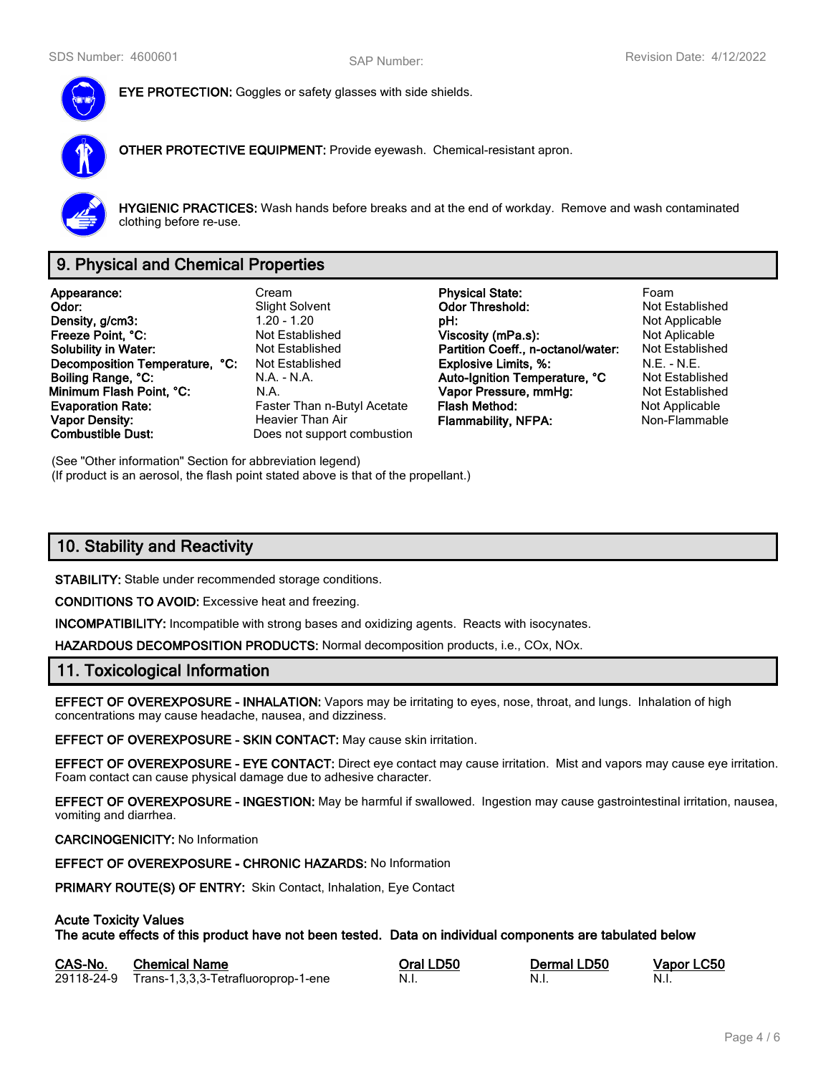

**EYE PROTECTION:** Goggles or safety glasses with side shields.

**OTHER PROTECTIVE EQUIPMENT:** Provide eyewash. Chemical-resistant apron.



**HYGIENIC PRACTICES:** Wash hands before breaks and at the end of workday. Remove and wash contaminated clothing before re-use.

# **9. Physical and Chemical Properties**

**Appearance:** Cream **Physical State:** Foam **Density, g/cm3:** 1.20 - 1.20 - 1.20 **pH: pH: pH:** Not Applicable proposity of the Section Pressure of Applicable pressure of the Not Applicable pressure of Not Applicable pressure of Not Applicable pressure of Not App **Freeze Point, °C: Not Established Viscosity (mPa.s):** Not Aplicable **Not Aplicable Solubility in Water:** Not Established **Partition Coeff., n-octanol/water:** Not Established **Decomposition Temperature, °C:** Not Established **Explosive Limits, %:** N.E. - N.E. - N.E. **Boiling Range, °C:** N.A. - N.A. - N.A. **Auto-Ignition Temperature, °C** Not Established **Minimum Flash Point, °C:** N.A. **Vapor Pressure, mmHg:** Not Established **Evaporation Rate:** Faster Than n-Butyl Acetate **Flash Method:** Not Applicable **Not Applicable Vapor Density: Heavier Than Air Flammability, NFPA:** Non-Flammable **Combustible Dust:** Does not support combustion

**Slight Solvent Codor Threshold:**<br>1.20 - 1.20 **DH:** Does not support combustion

(See "Other information" Section for abbreviation legend) (If product is an aerosol, the flash point stated above is that of the propellant.)

# **10. Stability and Reactivity**

**STABILITY:** Stable under recommended storage conditions.

**CONDITIONS TO AVOID:** Excessive heat and freezing.

**INCOMPATIBILITY:** Incompatible with strong bases and oxidizing agents. Reacts with isocynates.

**HAZARDOUS DECOMPOSITION PRODUCTS:** Normal decomposition products, i.e., COx, NOx.

## **11. Toxicological Information**

**EFFECT OF OVEREXPOSURE - INHALATION:** Vapors may be irritating to eyes, nose, throat, and lungs. Inhalation of high concentrations may cause headache, nausea, and dizziness.

**EFFECT OF OVEREXPOSURE - SKIN CONTACT:** May cause skin irritation.

**EFFECT OF OVEREXPOSURE - EYE CONTACT:** Direct eye contact may cause irritation. Mist and vapors may cause eye irritation. Foam contact can cause physical damage due to adhesive character.

**EFFECT OF OVEREXPOSURE - INGESTION:** May be harmful if swallowed. Ingestion may cause gastrointestinal irritation, nausea, vomiting and diarrhea.

### **CARCINOGENICITY:** No Information

**EFFECT OF OVEREXPOSURE - CHRONIC HAZARDS:** No Information

**PRIMARY ROUTE(S) OF ENTRY:** Skin Contact, Inhalation, Eye Contact

### **Acute Toxicity Values**

**The acute effects of this product have not been tested. Data on individual components are tabulated below**

| CAS-No. | <b>Chemical Name</b>                           | Oral LD50 | Dermal LD50 | Vapor LC50 |
|---------|------------------------------------------------|-----------|-------------|------------|
|         | 29118-24-9 Trans-1,3,3,3-Tetrafluoroprop-1-ene | - N.i.    | N.I.        | - N.i.     |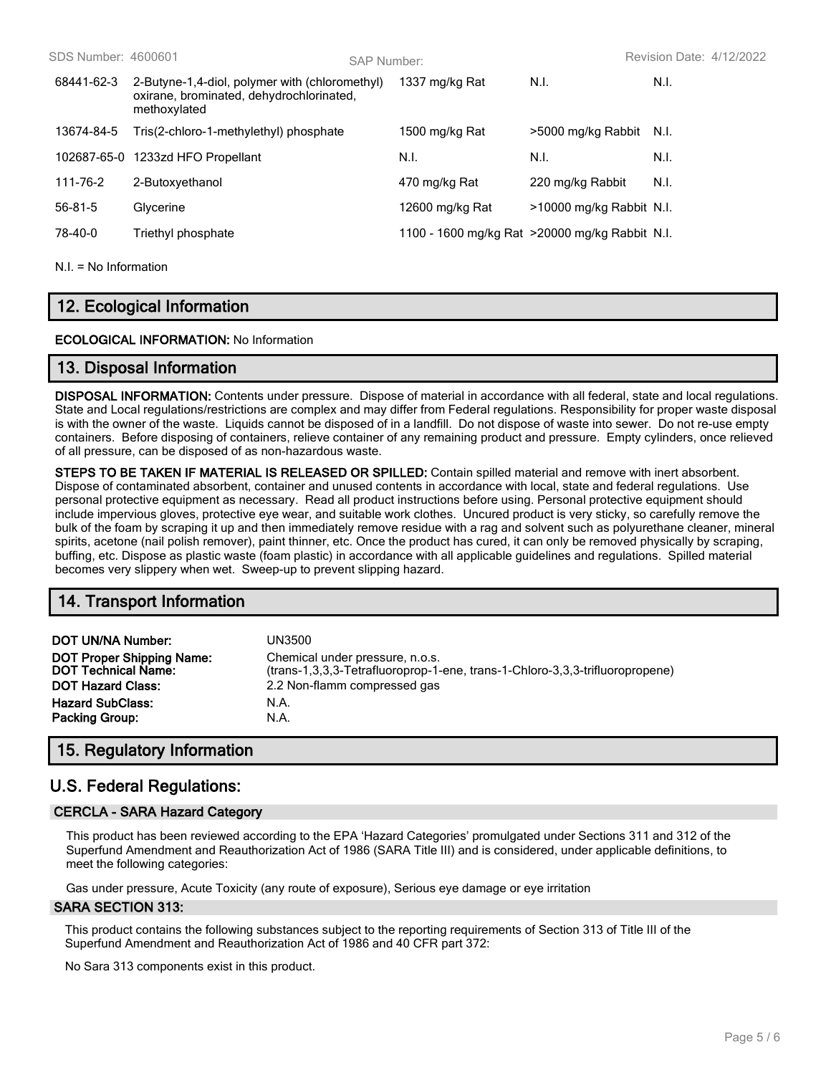| SDS Number: 4600601 |                                                                                                            | SAP Number: |                                                 |                          | Revision Date: 4/12/2022 |
|---------------------|------------------------------------------------------------------------------------------------------------|-------------|-------------------------------------------------|--------------------------|--------------------------|
| 68441-62-3          | 2-Butyne-1,4-diol, polymer with (chloromethyl)<br>oxirane, brominated, dehydrochlorinated,<br>methoxylated |             | 1337 mg/kg Rat                                  | N.I.                     | N.I.                     |
| 13674-84-5          | Tris(2-chloro-1-methylethyl) phosphate                                                                     |             | 1500 mg/kg Rat                                  | >5000 mg/kg Rabbit       | - N.I.                   |
| 102687-65-0         | 1233zd HFO Propellant                                                                                      |             | N.I.                                            | N.I.                     | N.I.                     |
| 111-76-2            | 2-Butoxyethanol                                                                                            |             | 470 mg/kg Rat                                   | 220 mg/kg Rabbit         | N.I.                     |
| 56-81-5             | Glycerine                                                                                                  |             | 12600 mg/kg Rat                                 | >10000 mg/kg Rabbit N.I. |                          |
| 78-40-0             | Triethyl phosphate                                                                                         |             | 1100 - 1600 mg/kg Rat > 20000 mg/kg Rabbit N.I. |                          |                          |
|                     |                                                                                                            |             |                                                 |                          |                          |

 $NI = No$  Information

# **12. Ecological Information**

### **ECOLOGICAL INFORMATION:** No Information

## **13. Disposal Information**

**DISPOSAL INFORMATION:** Contents under pressure. Dispose of material in accordance with all federal, state and local regulations. State and Local regulations/restrictions are complex and may differ from Federal regulations. Responsibility for proper waste disposal is with the owner of the waste. Liquids cannot be disposed of in a landfill. Do not dispose of waste into sewer. Do not re-use empty containers. Before disposing of containers, relieve container of any remaining product and pressure. Empty cylinders, once relieved of all pressure, can be disposed of as non-hazardous waste.

**STEPS TO BE TAKEN IF MATERIAL IS RELEASED OR SPILLED:** Contain spilled material and remove with inert absorbent. Dispose of contaminated absorbent, container and unused contents in accordance with local, state and federal regulations. Use personal protective equipment as necessary. Read all product instructions before using. Personal protective equipment should include impervious gloves, protective eye wear, and suitable work clothes. Uncured product is very sticky, so carefully remove the bulk of the foam by scraping it up and then immediately remove residue with a rag and solvent such as polyurethane cleaner, mineral spirits, acetone (nail polish remover), paint thinner, etc. Once the product has cured, it can only be removed physically by scraping, buffing, etc. Dispose as plastic waste (foam plastic) in accordance with all applicable guidelines and regulations. Spilled material becomes very slippery when wet. Sweep-up to prevent slipping hazard.

# **14. Transport Information**

| DOT UN/NA Number:                | UN3500                                                                       |
|----------------------------------|------------------------------------------------------------------------------|
| <b>DOT Proper Shipping Name:</b> | Chemical under pressure, n.o.s.                                              |
| <b>DOT Technical Name:</b>       | (trans-1,3,3,3-Tetrafluoroprop-1-ene, trans-1-Chloro-3,3,3-trifluoropropene) |
| <b>DOT Hazard Class:</b>         | 2.2 Non-flamm compressed gas                                                 |
| <b>Hazard SubClass:</b>          | N.A.                                                                         |
| <b>Packing Group:</b>            | N.A.                                                                         |

# **15. Regulatory Information**

# **U.S. Federal Regulations:**

### **CERCLA - SARA Hazard Category**

This product has been reviewed according to the EPA 'Hazard Categories' promulgated under Sections 311 and 312 of the Superfund Amendment and Reauthorization Act of 1986 (SARA Title III) and is considered, under applicable definitions, to meet the following categories:

Gas under pressure, Acute Toxicity (any route of exposure), Serious eye damage or eye irritation

#### **SARA SECTION 313:**

This product contains the following substances subject to the reporting requirements of Section 313 of Title III of the Superfund Amendment and Reauthorization Act of 1986 and 40 CFR part 372:

No Sara 313 components exist in this product.